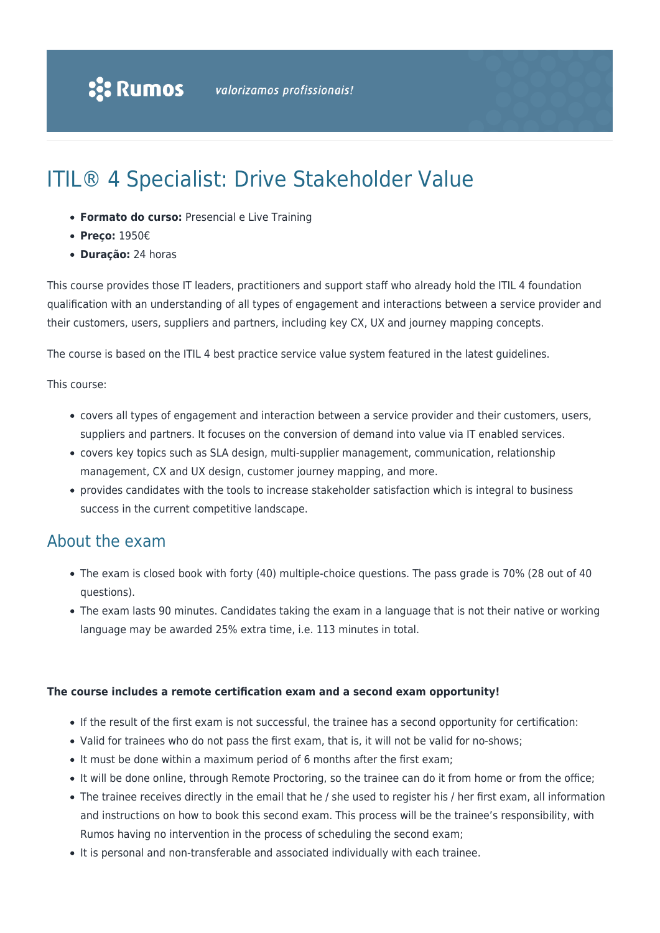# ITIL® 4 Specialist: Drive Stakeholder Value

- **Formato do curso:** Presencial e Live Training
- **Preço:** 1950€
- **Duração:** 24 horas

This course provides those IT leaders, practitioners and support staff who already hold the ITIL 4 foundation qualification with an understanding of all types of engagement and interactions between a service provider and their customers, users, suppliers and partners, including key CX, UX and journey mapping concepts.

The course is based on the ITIL 4 best practice service value system featured in the latest guidelines.

This course:

- covers all types of engagement and interaction between a service provider and their customers, users, suppliers and partners. It focuses on the conversion of demand into value via IT enabled services.
- covers key topics such as SLA design, multi-supplier management, communication, relationship management, CX and UX design, customer journey mapping, and more.
- provides candidates with the tools to increase stakeholder satisfaction which is integral to business success in the current competitive landscape.

### About the exam

- The exam is closed book with forty (40) multiple-choice questions. The pass grade is 70% (28 out of 40 questions).
- The exam lasts 90 minutes. Candidates taking the exam in a language that is not their native or working language may be awarded 25% extra time, i.e. 113 minutes in total.

#### **The course includes a remote certification exam and a second exam opportunity!**

- If the result of the first exam is not successful, the trainee has a second opportunity for certification:
- Valid for trainees who do not pass the first exam, that is, it will not be valid for no-shows;
- It must be done within a maximum period of 6 months after the first exam;
- It will be done online, through Remote Proctoring, so the trainee can do it from home or from the office;
- The trainee receives directly in the email that he / she used to register his / her first exam, all information and instructions on how to book this second exam. This process will be the trainee's responsibility, with Rumos having no intervention in the process of scheduling the second exam;
- It is personal and non-transferable and associated individually with each trainee.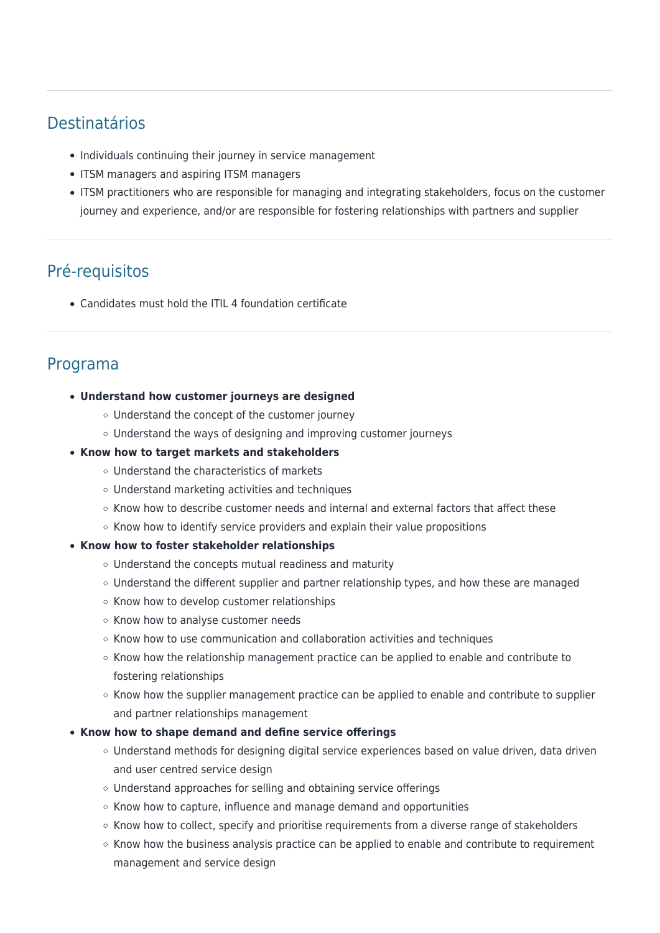### Destinatários

- Individuals continuing their journey in service management
- ITSM managers and aspiring ITSM managers
- ITSM practitioners who are responsible for managing and integrating stakeholders, focus on the customer journey and experience, and/or are responsible for fostering relationships with partners and supplier

## Pré-requisitos

Candidates must hold the ITIL 4 foundation certificate

### Programa

- **Understand how customer journeys are designed**
	- Understand the concept of the customer journey
	- Understand the ways of designing and improving customer journeys

#### **Know how to target markets and stakeholders**

- Understand the characteristics of markets
- Understand marketing activities and techniques
- o Know how to describe customer needs and internal and external factors that affect these
- $\circ$  Know how to identify service providers and explain their value propositions
- **Know how to foster stakeholder relationships**
	- Understand the concepts mutual readiness and maturity
	- Understand the different supplier and partner relationship types, and how these are managed
	- $\circ$  Know how to develop customer relationships
	- o Know how to analyse customer needs
	- $\circ$  Know how to use communication and collaboration activities and techniques
	- $\circ$  Know how the relationship management practice can be applied to enable and contribute to fostering relationships
	- $\circ$  Know how the supplier management practice can be applied to enable and contribute to supplier and partner relationships management
- **Know how to shape demand and define service offerings**
	- Understand methods for designing digital service experiences based on value driven, data driven and user centred service design
	- Understand approaches for selling and obtaining service offerings
	- $\circ$  Know how to capture, influence and manage demand and opportunities
	- $\circ$  Know how to collect, specify and prioritise requirements from a diverse range of stakeholders
	- $\circ$  Know how the business analysis practice can be applied to enable and contribute to requirement management and service design